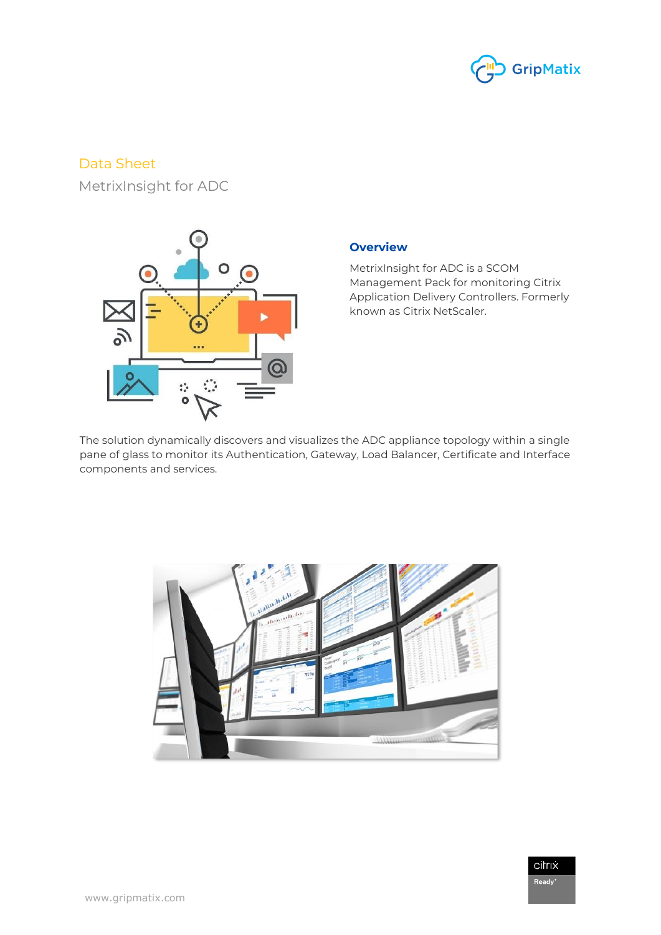

# Data Sheet

MetrixInsight for ADC



## **Overview**

MetrixInsight for ADC is a SCOM Management Pack for monitoring Citrix Application Delivery Controllers. Formerly known as Citrix NetScaler.

The solution dynamically discovers and visualizes the ADC appliance topology within a single pane of glass to monitor its Authentication, Gateway, Load Balancer, Certificate and Interface components and services.



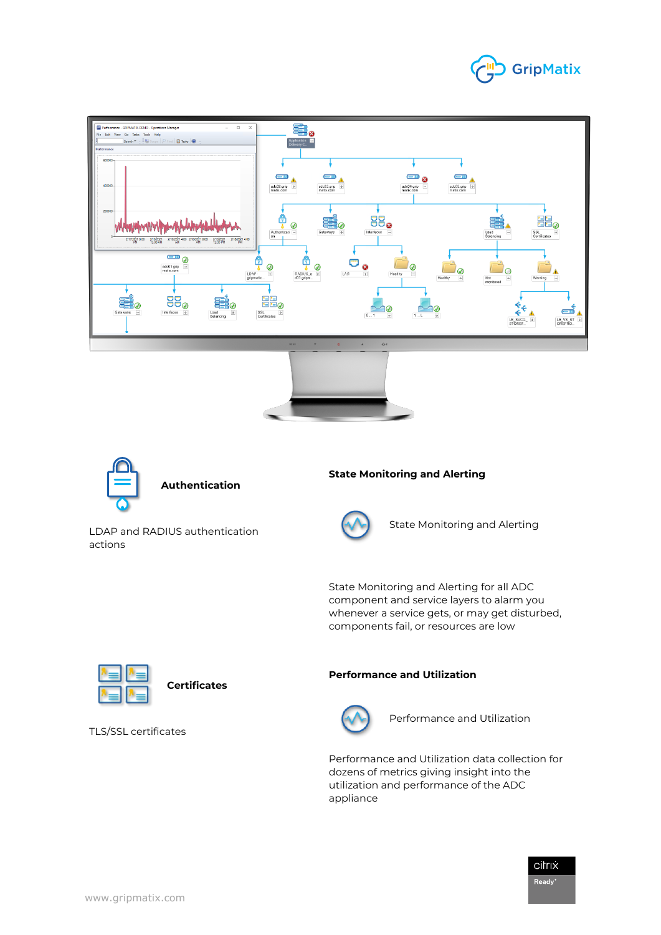





### **Authentication**

LDAP and RADIUS authentication actions

### **State Monitoring and Alerting**



State Monitoring and Alerting

State Monitoring and Alerting for all ADC component and service layers to alarm you whenever a service gets, or may get disturbed, components fail, or resources are low



**Certificates**

TLS/SSL certificates

#### **Performance and Utilization**



Performance and Utilization

Performance and Utilization data collection for dozens of metrics giving insight into the utilization and performance of the ADC appliance

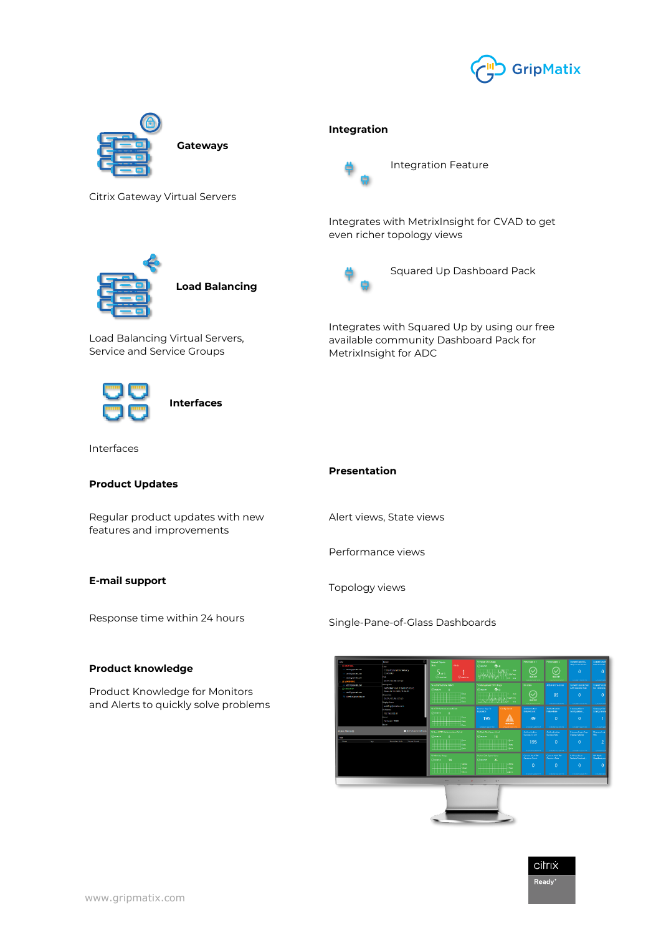



citrix  $\mathsf{Ready}^{\otimes}$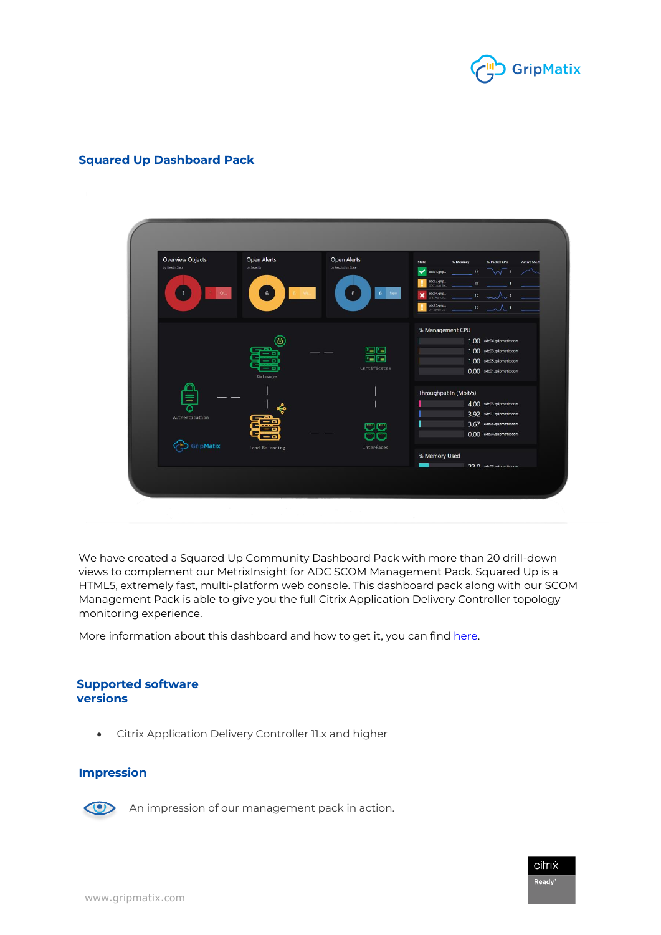

## **Squared Up Dashboard Pack**



We have created a Squared Up Community Dashboard Pack with more than 20 drill-down views to complement our MetrixInsight for ADC SCOM Management Pack. Squared Up is a HTML5, extremely fast, multi-platform web console. This dashboard pack along with our SCOM Management Pack is able to give you the full Citrix Application Delivery Controller topology monitoring experience.

More information about this dashboard and how to get it, you can fin[d here.](https://dashboards.squaredup.com/)

#### **Supported software versions**

• Citrix Application Delivery Controller 11.x and higher

### **Impression**



An impression of our management pack in action.

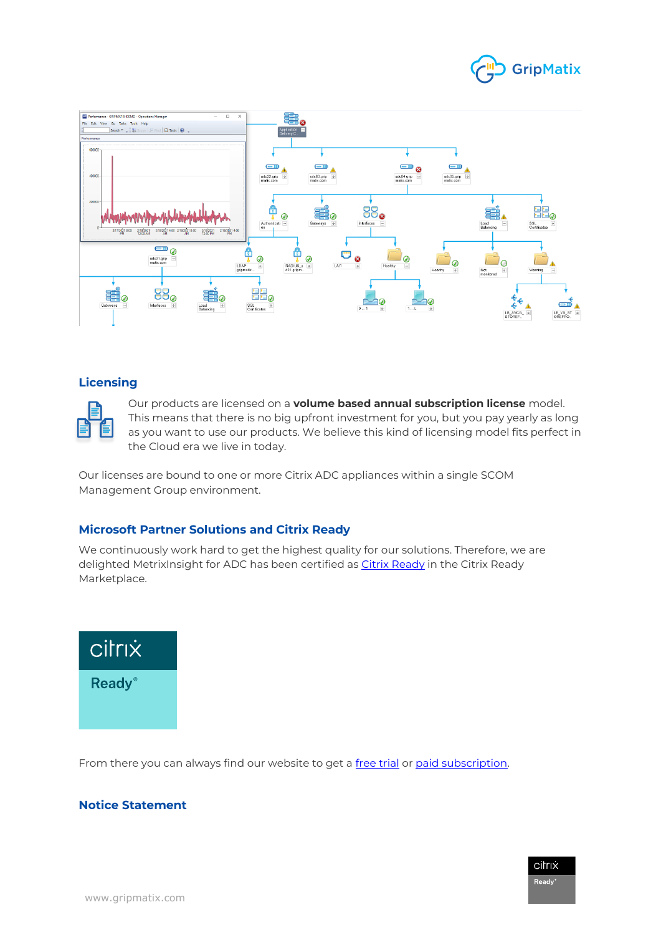



## **Licensing**



Our products are licensed on a **volume based annual subscription license** model. This means that there is no big upfront investment for you, but you pay yearly as long as you want to use our products. We believe this kind of licensing model fits perfect in the Cloud era we live in today.

Our licenses are bound to one or more Citrix ADC appliances within a single SCOM Management Group environment.

## **Microsoft Partner Solutions and Citrix Ready**

We continuously work hard to get the highest quality for our solutions. Therefore, we are delighted MetrixInsight for ADC has been certified a[s Citrix Ready](https://citrixready.citrix.com/gripmatix/metrixinsight-for-adc.html) in the Citrix Ready Marketplace.



From there you can always find our website to get a [free trial](https://www.gripmatix.com/subscription-plans/metrixinsight-adc) o[r paid subscription.](https://www.gripmatix.com/pricing/request-quote-adc)

## **Notice Statement**